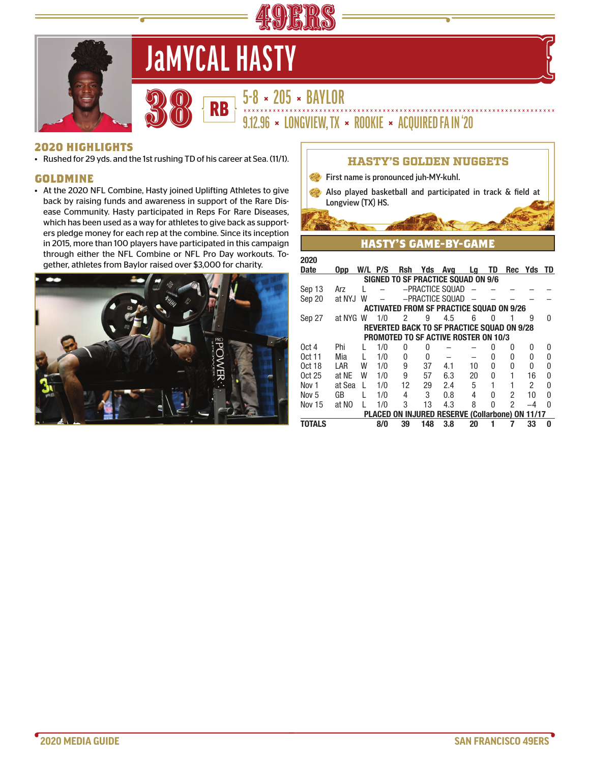



# **JaMYCAL HASTY**

**5-8 × 205 × BAYLOR<br>3.12.96 × LONGVIEW, TX × ROOKIE × ACQUIRED FA IN '20** 

# **2020 HIGHLIGHTS**

• Rushed for 29 yds. and the 1st rushing TD of his career at Sea. (11/1).

## **GOLDMINE**

• At the 2020 NFL Combine, Hasty joined Uplifting Athletes to give back by raising funds and awareness in support of the Rare Disease Community. Hasty participated in Reps For Rare Diseases, which has been used as a way for athletes to give back as supporters pledge money for each rep at the combine. Since its inception in 2015, more than 100 players have participated in this campaign through either the NFL Combine or NFL Pro Day workouts. Together, athletes from Baylor raised over \$3,000 for charity.



| <b>HASTY'S GOLDEN NUGGETS</b>                                                                    |           |              |         |    |          |                                                 |    |              |                |               |              |  |
|--------------------------------------------------------------------------------------------------|-----------|--------------|---------|----|----------|-------------------------------------------------|----|--------------|----------------|---------------|--------------|--|
| First name is pronounced juh-MY-kuhl.                                                            |           |              |         |    |          |                                                 |    |              |                |               |              |  |
| Also played basketball and participated in track & field at                                      |           |              |         |    |          |                                                 |    |              |                |               |              |  |
| Longview (TX) HS.                                                                                |           |              |         |    |          |                                                 |    |              |                |               |              |  |
|                                                                                                  |           |              |         |    |          |                                                 |    |              |                |               |              |  |
|                                                                                                  |           |              |         |    |          |                                                 |    |              |                |               |              |  |
| <b>HASTY'S GAME-BY-GAME</b>                                                                      |           |              |         |    |          |                                                 |    |              |                |               |              |  |
|                                                                                                  |           |              |         |    |          |                                                 |    |              |                |               |              |  |
| 2020                                                                                             |           |              |         |    |          |                                                 |    |              |                |               |              |  |
| <b>Date</b>                                                                                      | 0pp       |              | W/L P/S |    |          | Rsh Yds Avg Lg                                  |    | TD           |                | Rec Yds TD    |              |  |
| <b>SIGNED TO SF PRACTICE SQUAD ON 9/6</b>                                                        |           |              |         |    |          |                                                 |    |              |                |               |              |  |
| Sep 13                                                                                           | Arz       | L            |         |    |          | -PRACTICE SOUAD                                 |    |              |                |               |              |  |
| -PRACTICE SQUAD<br>Sep 20<br>at NYJ<br>W<br><b>ACTIVATED FROM SF PRACTICE SQUAD ON 9/26</b>      |           |              |         |    |          |                                                 |    |              |                |               |              |  |
|                                                                                                  |           |              | 1/0     | 2  |          | 4.5                                             | 6  | U            |                | g             | U            |  |
| Sep 27                                                                                           | at NYG W  |              |         |    | 9        |                                                 |    |              |                |               |              |  |
| <b>REVERTED BACK TO SF PRACTICE SQUAD ON 9/28</b><br><b>PROMOTED TO SF ACTIVE ROSTER ON 10/3</b> |           |              |         |    |          |                                                 |    |              |                |               |              |  |
| 0ct <sub>4</sub>                                                                                 | Phi       | L            | 1/0     | 0  | 0        |                                                 |    | 0            | 0              | 0             | 0            |  |
| $0ct$ 11                                                                                         | Mia       | L            | 1/0     | 0  | $\Omega$ |                                                 |    | <sup>0</sup> | 0              | 0             | 0            |  |
| 0ct 18                                                                                           | LAR       | W            | 1/0     | 9  | 37       | 4.1                                             | 10 | U            | 0              | U             | 0            |  |
| $0ct$ 25                                                                                         | at NF     | W            | 1/0     | 9  | 57       | 6.3                                             | 20 | 0            | 1              | 16            | 0            |  |
| Nov <sub>1</sub>                                                                                 | at Sea    | $\mathbf{L}$ | 1/0     | 12 | 29       | 2.4                                             | 5  | 1            | 1              | $\mathcal{P}$ | 0            |  |
| Nov <sub>5</sub>                                                                                 | <b>GB</b> | L            | 1/0     | 4  | 3        | 0.8                                             | 4  | 0            | 2              | 10            | 0            |  |
| <b>Nov 15</b>                                                                                    | at NO     |              | 1/0     | 3  | 13       | 4.3                                             | 8  | U            | $\mathfrak{p}$ | $-4$          | <sup>0</sup> |  |
|                                                                                                  |           |              |         |    |          | PLACED ON INJURED RESERVE (Collarbone) ON 11/17 |    |              |                |               |              |  |
| TOTALS                                                                                           |           |              | 8/0     | 39 | 148      | 3.8                                             | 20 | 1            |                | 33            | 0            |  |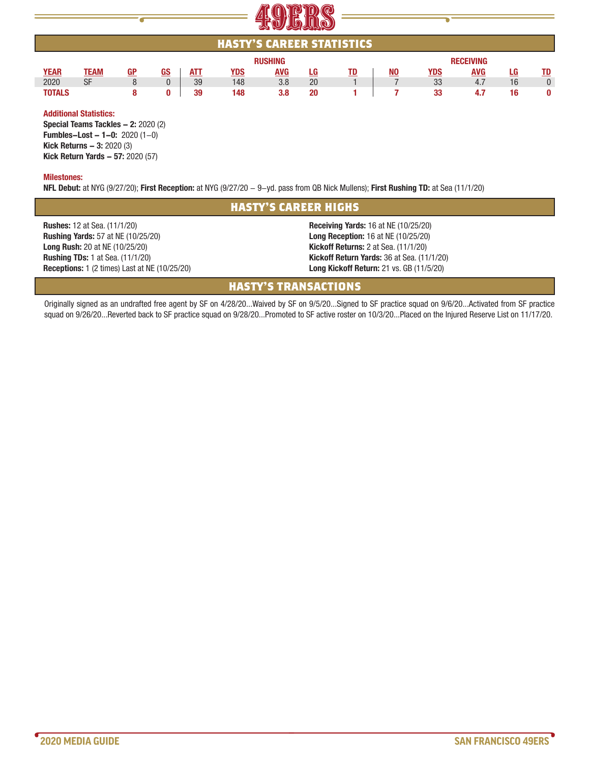

| ___________________              |      |    |    |            |            |            |           |                  |           |            |            |     |           |
|----------------------------------|------|----|----|------------|------------|------------|-----------|------------------|-----------|------------|------------|-----|-----------|
| <b>HASTY'S CAREER STATISTICS</b> |      |    |    |            |            |            |           |                  |           |            |            |     |           |
| <b>RUSHING</b>                   |      |    |    |            |            |            |           | <b>RECEIVING</b> |           |            |            |     |           |
| <b>YEAR</b>                      | TEAM | GP | GS | <u>ATT</u> | <u>YDS</u> | <b>AVG</b> | <u>LG</u> | <u>TD</u>        | <u>NO</u> | <u>YDS</u> | <b>AVG</b> | LG. | <u>TD</u> |
| 2020                             | SF   | 8  |    | 39         | 148        | 3.8        | 20        |                  |           | 33         | 4.7        | 16  |           |
| <b>TOTALS</b>                    |      | 8  |    | 39         | 148        | 3.8        | 20        |                  |           | 33         | 4.7        | 16  |           |
|                                  |      |    |    |            |            |            |           |                  |           |            |            |     |           |

#### **Additional Statistics:**

**Special Teams Tackles - 2:** 2020 (2) **Fumbles-Lost - 1-0:** 2020 (1-0) **Kick Returns - 3: 2020 (3) Kick Return Yards - 57: 2020 (57)** 

#### **Milestones:**

**NFL Debut:** at NYG (9/27/20); **First Reception:** at NYG (9/27/20 - 9-yd. pass from QB Nick Mullens); **First Rushing TD:** at Sea (11/1/20)

# **HASTY'S CAREER HIGHS**

**Rushes:** 12 at Sea. (11/1/20) **Rushing Yards:** 57 at NE (10/25/20) **Long Rush:** 20 at NE (10/25/20) **Rushing TDs:** 1 at Sea. (11/1/20) **Receptions:** 1 (2 times) Last at NE (10/25/20)

**Receiving Yards:** 16 at NE (10/25/20) **Long Reception:** 16 at NE (10/25/20) **Kickoff Returns:** 2 at Sea. (11/1/20) **Kickoff Return Yards:** 36 at Sea. (11/1/20) **Long Kickoff Return:** 21 vs. GB (11/5/20)

# **HASTY'S TRANSACTIONS**

Originally signed as an undrafted free agent by SF on 4/28/20...Waived by SF on 9/5/20...Signed to SF practice squad on 9/6/20...Activated from SF practice squad on 9/26/20...Reverted back to SF practice squad on 9/28/20...Promoted to SF active roster on 10/3/20...Placed on the Injured Reserve List on 11/17/20.